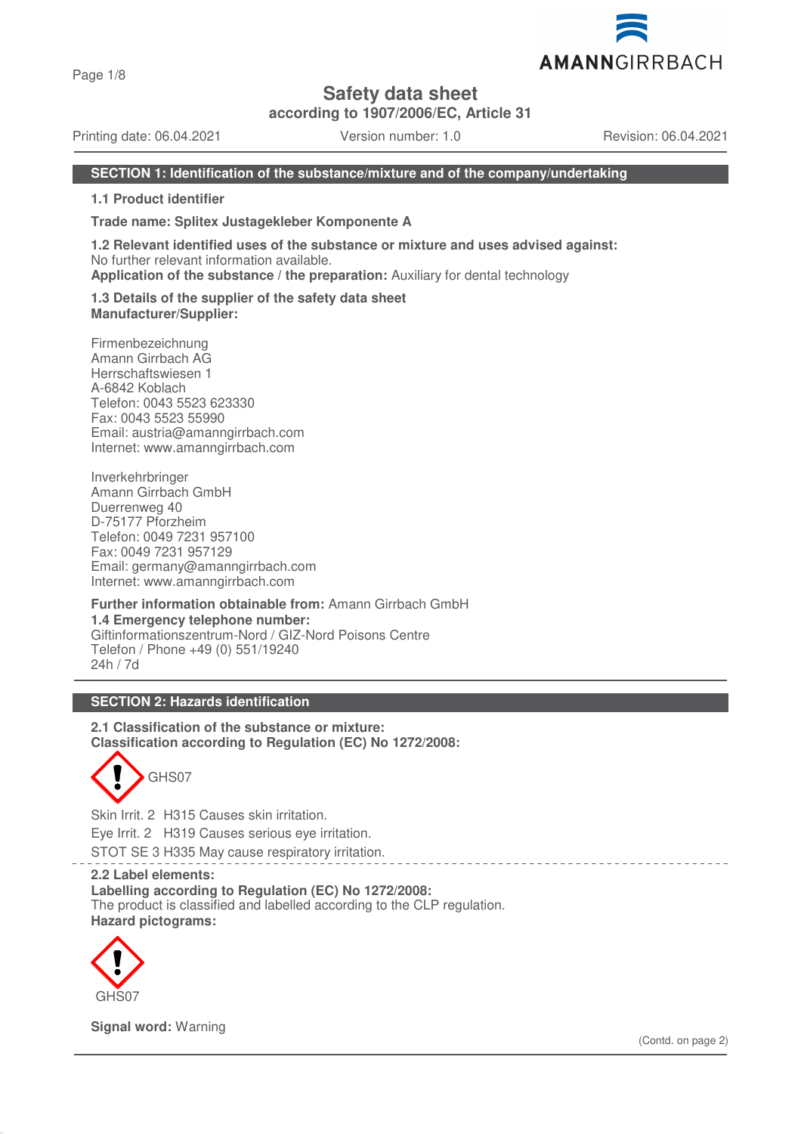Page 1/8

# **Safety data sheet**

**according to 1907/2006/EC, Article 31**

Printing date: 06.04.2021 Version number: 1.0 Revision: 06.04.2021

AMANNGIRRBACH

### **SECTION 1: Identification of the substance/mixture and of the company/undertaking**

**1.1 Product identifier**

**Trade name: Splitex Justagekleber Komponente A**

**1.2 Relevant identified uses of the substance or mixture and uses advised against:** No further relevant information available. **Application of the substance / the preparation:** Auxiliary for dental technology

**1.3 Details of the supplier of the safety data sheet Manufacturer/Supplier:**

Firmenbezeichnung Amann Girrbach AG Herrschaftswiesen 1 A-6842 Koblach Telefon: 0043 5523 623330 Fax: 0043 5523 55990 Email: austria@amanngirrbach.com Internet: www.amanngirrbach.com

Inverkehrbringer Amann Girrbach GmbH Duerrenweg 40 D-75177 Pforzheim Telefon: 0049 7231 957100 Fax: 0049 7231 957129 Email: germany@amanngirrbach.com Internet: www.amanngirrbach.com

**Further information obtainable from:** Amann Girrbach GmbH **1.4 Emergency telephone number:** Giftinformationszentrum-Nord / GIZ-Nord Poisons Centre Telefon / Phone +49 (0) 551/19240 24h / 7d

## **SECTION 2: Hazards identification**

**2.1 Classification of the substance or mixture: Classification according to Regulation (EC) No 1272/2008:**

GHS07

Skin Irrit. 2 H315 Causes skin irritation. Eye Irrit. 2 H319 Causes serious eye irritation.

STOT SE 3 H335 May cause respiratory irritation.

#### **2.2 Label elements:**

**Labelling according to Regulation (EC) No 1272/2008:**

The product is classified and labelled according to the CLP regulation. **Hazard pictograms:**



**Signal word:** Warning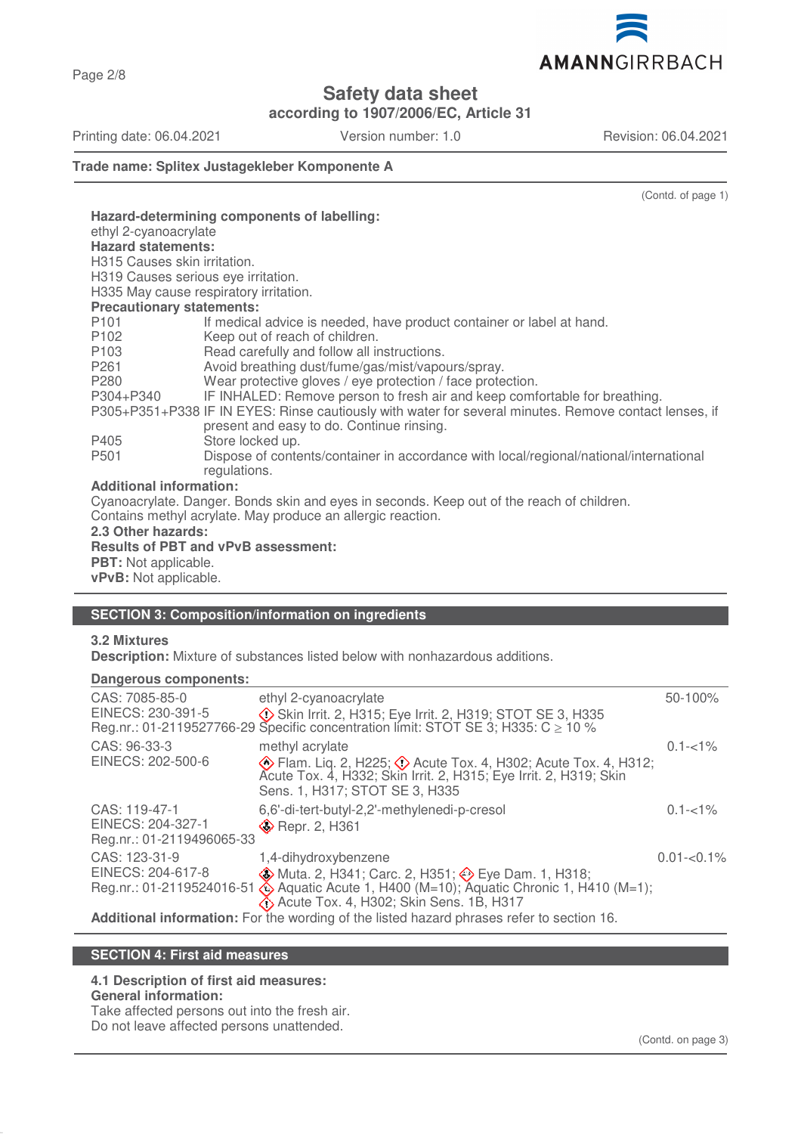Page 2/8

# **Safety data sheet**

**according to 1907/2006/EC, Article 31**

Printing date: 06.04.2021 Version number: 1.0 Revision: 06.04.2021

(Contd. of page 1)

**Trade name: Splitex Justagekleber Komponente A**

| Hazard-determining components of labelling:                                                           |                                                                                        |  |  |  |
|-------------------------------------------------------------------------------------------------------|----------------------------------------------------------------------------------------|--|--|--|
| ethyl 2-cyanoacrylate<br><b>Hazard statements:</b>                                                    |                                                                                        |  |  |  |
| H315 Causes skin irritation.                                                                          |                                                                                        |  |  |  |
| H319 Causes serious eye irritation.                                                                   |                                                                                        |  |  |  |
| H335 May cause respiratory irritation.                                                                |                                                                                        |  |  |  |
| <b>Precautionary statements:</b>                                                                      |                                                                                        |  |  |  |
| P <sub>101</sub>                                                                                      | If medical advice is needed, have product container or label at hand.                  |  |  |  |
| P102                                                                                                  | Keep out of reach of children.                                                         |  |  |  |
| P103                                                                                                  | Read carefully and follow all instructions.                                            |  |  |  |
| P261                                                                                                  | Avoid breathing dust/fume/gas/mist/vapours/spray.                                      |  |  |  |
| P280                                                                                                  | Wear protective gloves / eye protection / face protection.                             |  |  |  |
| P304+P340                                                                                             | IF INHALED: Remove person to fresh air and keep comfortable for breathing.             |  |  |  |
| P305+P351+P338 IF IN EYES: Rinse cautiously with water for several minutes. Remove contact lenses, if |                                                                                        |  |  |  |
|                                                                                                       | present and easy to do. Continue rinsing.                                              |  |  |  |
| P405                                                                                                  | Store locked up.                                                                       |  |  |  |
| P <sub>501</sub>                                                                                      | Dispose of contents/container in accordance with local/regional/national/international |  |  |  |
|                                                                                                       | regulations.                                                                           |  |  |  |
| <b>Additional information:</b>                                                                        |                                                                                        |  |  |  |
| Cyanoacrylate. Danger. Bonds skin and eyes in seconds. Keep out of the reach of children.             |                                                                                        |  |  |  |
| Contains methyl acrylate. May produce an allergic reaction.                                           |                                                                                        |  |  |  |
| 2.3 Other hazards:                                                                                    |                                                                                        |  |  |  |
| <b>Results of PBT and vPvB assessment:</b>                                                            |                                                                                        |  |  |  |
| <b>PBT:</b> Not applicable.                                                                           |                                                                                        |  |  |  |
| vPvB: Not applicable.                                                                                 |                                                                                        |  |  |  |

## **SECTION 3: Composition/information on ingredients**

## **3.2 Mixtures**

**Description:** Mixture of substances listed below with nonhazardous additions.

### **Dangerous components:**

| CAS: 7085-85-0<br>EINECS: 230-391-5                             | ethyl 2-cyanoacrylate<br>Skin Irrit. 2, H315; Eye Irrit. 2, H319; STOT SE 3, H335<br>Reg.nr.: 01-2119527766-29 Specific concentration limit: STOT SE 3; H335: C $\geq$ 10 %                                                                | 50-100%        |
|-----------------------------------------------------------------|--------------------------------------------------------------------------------------------------------------------------------------------------------------------------------------------------------------------------------------------|----------------|
| CAS: 96-33-3<br>EINECS: 202-500-6                               | methyl acrylate<br>Sens. 1, H317; STOT SE 3, H335                                                                                                                                                                                          | $0.1 - 1\%$    |
| CAS: 119-47-1<br>EINECS: 204-327-1<br>Reg.nr.: 01-2119496065-33 | 6,6'-di-tert-butyl-2,2'-methylenedi-p-cresol<br><b>Example 2.</b> H361                                                                                                                                                                     | $0.1 - 1\%$    |
| CAS: 123-31-9<br>EINECS: 204-617-8                              | 1,4-dihydroxybenzene<br>♦ Muta. 2, H341; Carc. 2, H351; ♦ Eye Dam. 1, H318;<br>Reg.nr.: 01-2119524016-51 & Aquatic Acute 1, H400 (M=10); Aquatic Chronic 1, H410 (M=1);<br>$\langle \cdot \rangle$ Acute Tox. 4, H302; Skin Sens. 1B, H317 | $0.01 - 0.1\%$ |
|                                                                 | Additional information: For the wording of the listed hazard phrases refer to section 16.                                                                                                                                                  |                |

## **SECTION 4: First aid measures**

#### **4.1 Description of first aid measures: General information:**

Take affected persons out into the fresh air.

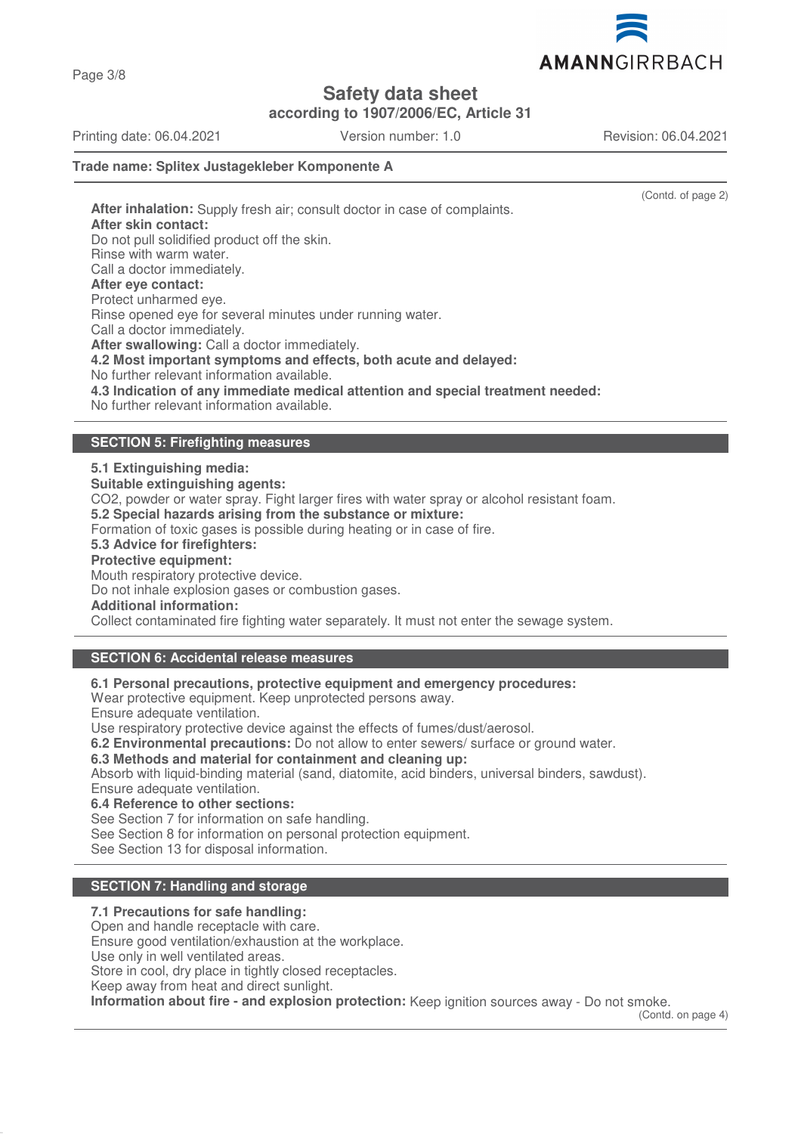AMANNGIRRBACH

**Safety data sheet**

**according to 1907/2006/EC, Article 31**

Printing date: 06.04.2021 Version number: 1.0 Revision: 06.04.2021

(Contd. of page 2)

### **Trade name: Splitex Justagekleber Komponente A**

**After inhalation:** Supply fresh air; consult doctor in case of complaints. **After skin contact:** Do not pull solidified product off the skin. Rinse with warm water. Call a doctor immediately. **After eye contact:** Protect unharmed eye. Rinse opened eye for several minutes under running water. Call a doctor immediately. **After swallowing:** Call a doctor immediately. **4.2 Most important symptoms and effects, both acute and delayed:** No further relevant information available. **4.3 Indication of any immediate medical attention and special treatment needed:** No further relevant information available.

## **SECTION 5: Firefighting measures**

### **5.1 Extinguishing media:**

**Suitable extinguishing agents:**

CO2, powder or water spray. Fight larger fires with water spray or alcohol resistant foam.

**5.2 Special hazards arising from the substance or mixture:**

Formation of toxic gases is possible during heating or in case of fire.

## **5.3 Advice for firefighters:**

**Protective equipment:**

Mouth respiratory protective device.

Do not inhale explosion gases or combustion gases.

**Additional information:**

Collect contaminated fire fighting water separately. It must not enter the sewage system.

## **SECTION 6: Accidental release measures**

**6.1 Personal precautions, protective equipment and emergency procedures:**

Wear protective equipment. Keep unprotected persons away.

Ensure adequate ventilation.

Use respiratory protective device against the effects of fumes/dust/aerosol.

**6.2 Environmental precautions:** Do not allow to enter sewers/ surface or ground water.

**6.3 Methods and material for containment and cleaning up:**

Absorb with liquid-binding material (sand, diatomite, acid binders, universal binders, sawdust). Ensure adequate ventilation.

**6.4 Reference to other sections:**

See Section 7 for information on safe handling.

See Section 8 for information on personal protection equipment.

See Section 13 for disposal information.

## **SECTION 7: Handling and storage**

### **7.1 Precautions for safe handling:**

Open and handle receptacle with care.

Ensure good ventilation/exhaustion at the workplace.

Use only in well ventilated areas.

Store in cool, dry place in tightly closed receptacles.

Keep away from heat and direct sunlight.

**Information about fire - and explosion protection:** Keep ignition sources away - Do not smoke.

(Contd. on page 4)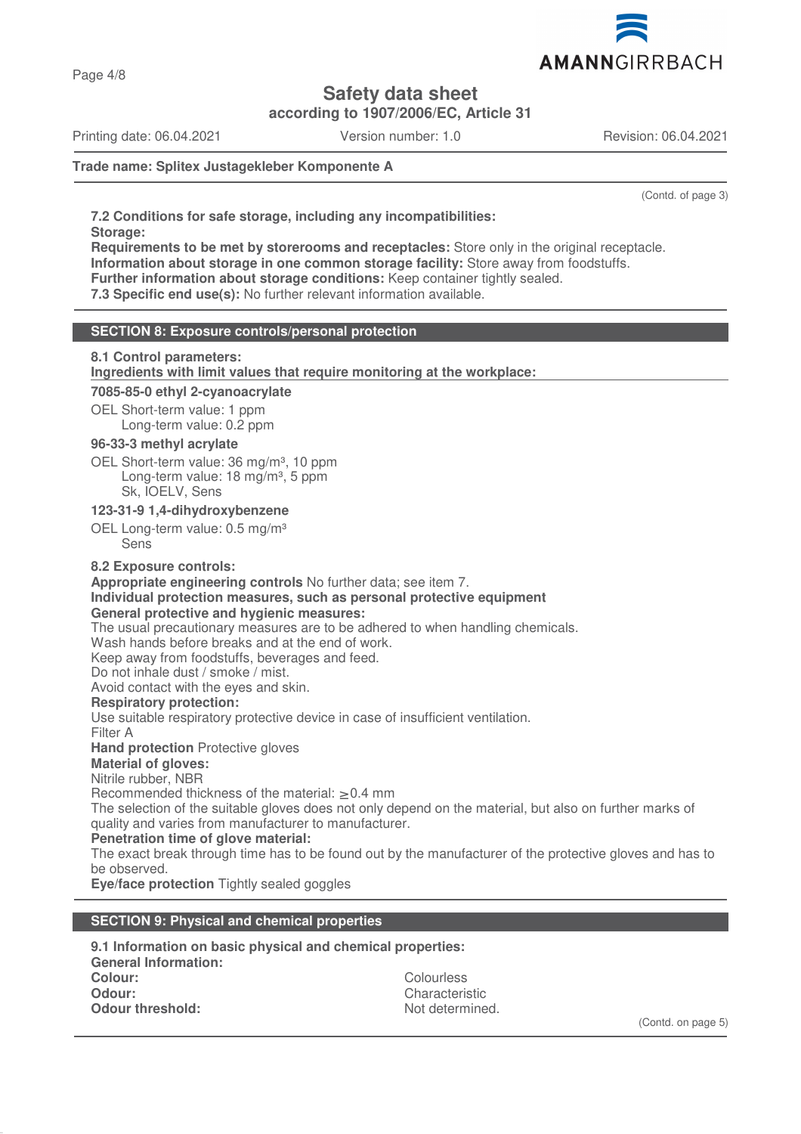

**Safety data sheet**

**according to 1907/2006/EC, Article 31**

Printing date: 06.04.2021 Version number: 1.0 Revision: 06.04.2021

### **Trade name: Splitex Justagekleber Komponente A**

(Contd. of page 3)

**7.2 Conditions for safe storage, including any incompatibilities: Storage:**

**Requirements to be met by storerooms and receptacles:** Store only in the original receptacle. **Information about storage in one common storage facility:** Store away from foodstuffs. **Further information about storage conditions:** Keep container tightly sealed.

**7.3 Specific end use(s):** No further relevant information available.

### **SECTION 8: Exposure controls/personal protection**

### **8.1 Control parameters:**

**Ingredients with limit values that require monitoring at the workplace:** 

#### **7085-85-0 ethyl 2-cyanoacrylate**

OEL Short-term value: 1 ppm Long-term value: 0.2 ppm

### **96-33-3 methyl acrylate**

OEL Short-term value: 36 mg/m<sup>3</sup>, 10 ppm Long-term value: 18 mg/m<sup>3</sup>, 5 ppm Sk, IOELV, Sens

## **123-31-9 1,4-dihydroxybenzene**

OEL Long-term value: 0.5 mg/m<sup>3</sup> Sens

### **8.2 Exposure controls:**

**Appropriate engineering controls** No further data; see item 7.

## **Individual protection measures, such as personal protective equipment**

**General protective and hygienic measures:**

The usual precautionary measures are to be adhered to when handling chemicals.

Wash hands before breaks and at the end of work.

Keep away from foodstuffs, beverages and feed.

Do not inhale dust / smoke / mist.

Avoid contact with the eyes and skin.

### **Respiratory protection:**

Use suitable respiratory protective device in case of insufficient ventilation.

Filter A

**Hand protection** Protective gloves

## **Material of gloves:**

Nitrile rubber, NBR

Recommended thickness of the material: ≥ 0.4 mm

The selection of the suitable gloves does not only depend on the material, but also on further marks of quality and varies from manufacturer to manufacturer.

### **Penetration time of glove material:**

The exact break through time has to be found out by the manufacturer of the protective gloves and has to be observed.

**Eye/face protection** Tightly sealed goggles

## **SECTION 9: Physical and chemical properties**

| 9.1 Information on basic physical and chemical properties: |                 |  |  |
|------------------------------------------------------------|-----------------|--|--|
| <b>General Information:</b>                                |                 |  |  |
| Colour:                                                    | Colourless      |  |  |
| Odour:                                                     | Characteristic  |  |  |
| Odour threshold:                                           | Not determined. |  |  |

(Contd. on page 5)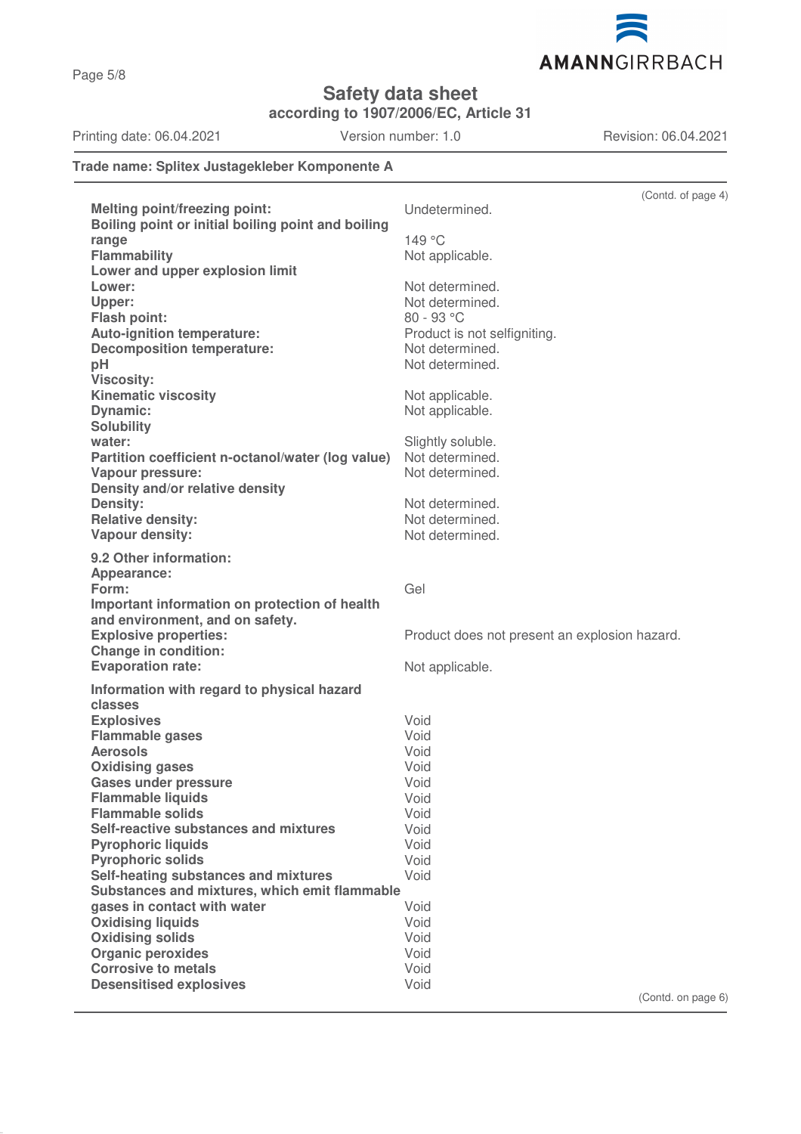

**Safety data sheet**

**according to 1907/2006/EC, Article 31**

Printing date: 06.04.2021 Version number: 1.0 Revision: 06.04.2021

## **Trade name: Splitex Justagekleber Komponente A**

|                                                       | (Contd. of page 4)                            |
|-------------------------------------------------------|-----------------------------------------------|
| <b>Melting point/freezing point:</b>                  | Undetermined.                                 |
| Boiling point or initial boiling point and boiling    |                                               |
| range                                                 | 149 °C                                        |
| <b>Flammability</b>                                   | Not applicable.                               |
| Lower and upper explosion limit                       |                                               |
| Lower:                                                | Not determined.                               |
| Upper:                                                | Not determined.                               |
| <b>Flash point:</b>                                   | 80 - 93 °C                                    |
| Auto-ignition temperature:                            | Product is not selfigniting.                  |
| <b>Decomposition temperature:</b>                     | Not determined.                               |
| pH                                                    | Not determined.                               |
| <b>Viscosity:</b>                                     |                                               |
| <b>Kinematic viscosity</b>                            | Not applicable.                               |
| <b>Dynamic:</b>                                       | Not applicable.                               |
| <b>Solubility</b>                                     |                                               |
| water:                                                | Slightly soluble.                             |
| Partition coefficient n-octanol/water (log value)     | Not determined.                               |
| Vapour pressure:                                      | Not determined.                               |
| Density and/or relative density                       |                                               |
| Density:                                              | Not determined.                               |
| <b>Relative density:</b>                              | Not determined.                               |
| Vapour density:                                       | Not determined.                               |
| 9.2 Other information:                                |                                               |
| Appearance:                                           |                                               |
| Form:                                                 | Gel                                           |
| Important information on protection of health         |                                               |
| and environment, and on safety.                       |                                               |
| <b>Explosive properties:</b>                          | Product does not present an explosion hazard. |
| Change in condition:                                  |                                               |
| <b>Evaporation rate:</b>                              | Not applicable.                               |
| Information with regard to physical hazard            |                                               |
| classes                                               |                                               |
| <b>Explosives</b>                                     | Void                                          |
| <b>Flammable gases</b>                                | Void                                          |
| <b>Aerosols</b>                                       | Void                                          |
| <b>Oxidising gases</b>                                | Void                                          |
| <b>Gases under pressure</b>                           | Void                                          |
| <b>Flammable liquids</b>                              | Void                                          |
| <b>Flammable solids</b>                               | Void                                          |
| Self-reactive substances and mixtures                 | Void                                          |
| <b>Pyrophoric liquids</b><br><b>Pyrophoric solids</b> | Void<br>Void                                  |
| Self-heating substances and mixtures                  | Void                                          |
| Substances and mixtures, which emit flammable         |                                               |
| gases in contact with water                           | Void                                          |
| <b>Oxidising liquids</b>                              | Void                                          |
| <b>Oxidising solids</b>                               | Void                                          |
| <b>Organic peroxides</b>                              | Void                                          |
| <b>Corrosive to metals</b>                            | Void                                          |
| <b>Desensitised explosives</b>                        | Void                                          |
|                                                       | (Contd. on page 6)                            |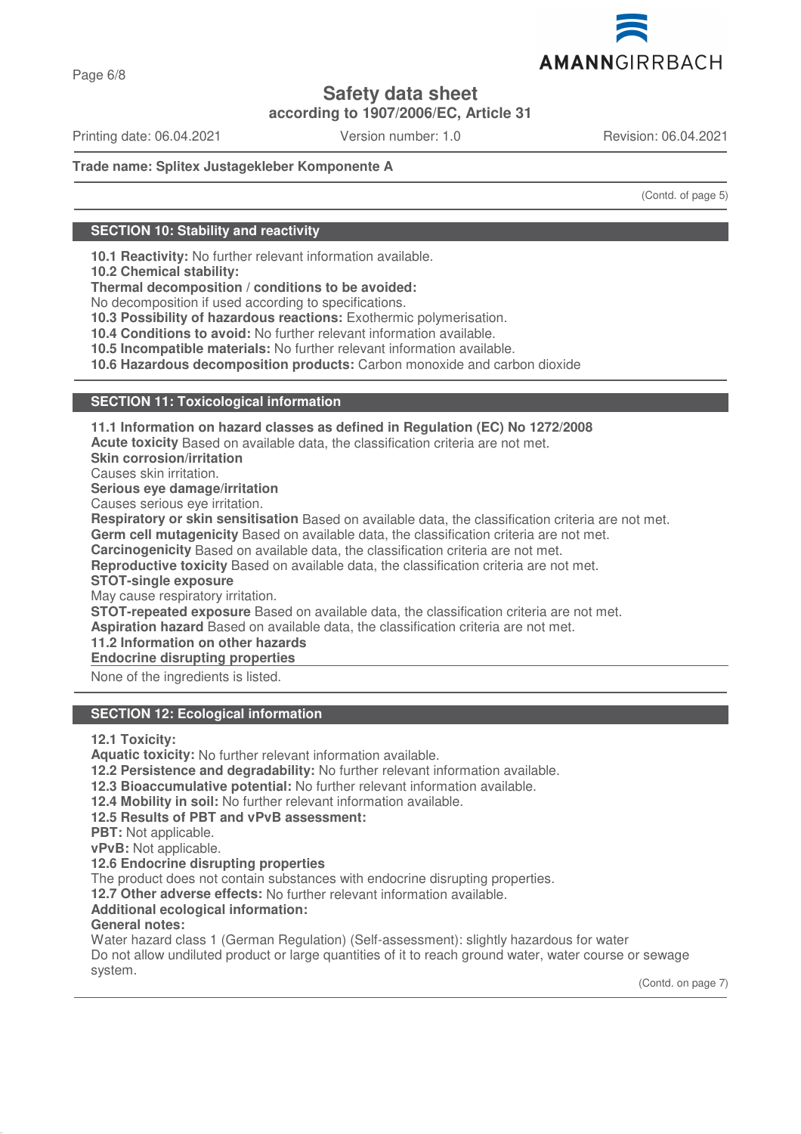

Page 6/8

# **Safety data sheet**

**according to 1907/2006/EC, Article 31**

Printing date: 06.04.2021 Version number: 1.0 Revision: 06.04.2021

## **Trade name: Splitex Justagekleber Komponente A**

(Contd. of page 5)

## **SECTION 10: Stability and reactivity**

**10.1 Reactivity:** No further relevant information available.

**10.2 Chemical stability:**

**Thermal decomposition / conditions to be avoided:**

No decomposition if used according to specifications.

**10.3 Possibility of hazardous reactions:** Exothermic polymerisation.

**10.4 Conditions to avoid:** No further relevant information available.

**10.5 Incompatible materials:** No further relevant information available.

**10.6 Hazardous decomposition products:** Carbon monoxide and carbon dioxide

### **SECTION 11: Toxicological information**

**11.1 Information on hazard classes as defined in Regulation (EC) No 1272/2008 Acute toxicity** Based on available data, the classification criteria are not met. **Skin corrosion/irritation** Causes skin irritation. **Serious eye damage/irritation** Causes serious eye irritation. **Respiratory or skin sensitisation** Based on available data, the classification criteria are not met. **Germ cell mutagenicity** Based on available data, the classification criteria are not met. **Carcinogenicity** Based on available data, the classification criteria are not met. **Reproductive toxicity** Based on available data, the classification criteria are not met. **STOT-single exposure** May cause respiratory irritation. **STOT-repeated exposure** Based on available data, the classification criteria are not met. **Aspiration hazard** Based on available data, the classification criteria are not met. **11.2 Information on other hazards Endocrine disrupting properties** 

None of the ingredients is listed.

### **SECTION 12: Ecological information**

**12.1 Toxicity:**

**Aquatic toxicity:** No further relevant information available.

**12.2 Persistence and degradability:** No further relevant information available.

**12.3 Bioaccumulative potential:** No further relevant information available.

**12.4 Mobility in soil:** No further relevant information available.

**12.5 Results of PBT and vPvB assessment:**

**PBT:** Not applicable.

**vPvB:** Not applicable.

**12.6 Endocrine disrupting properties**

The product does not contain substances with endocrine disrupting properties.

**12.7 Other adverse effects:** No further relevant information available.

**Additional ecological information:**

### **General notes:**

Water hazard class 1 (German Regulation) (Self-assessment): slightly hazardous for water Do not allow undiluted product or large quantities of it to reach ground water, water course or sewage system.

(Contd. on page 7)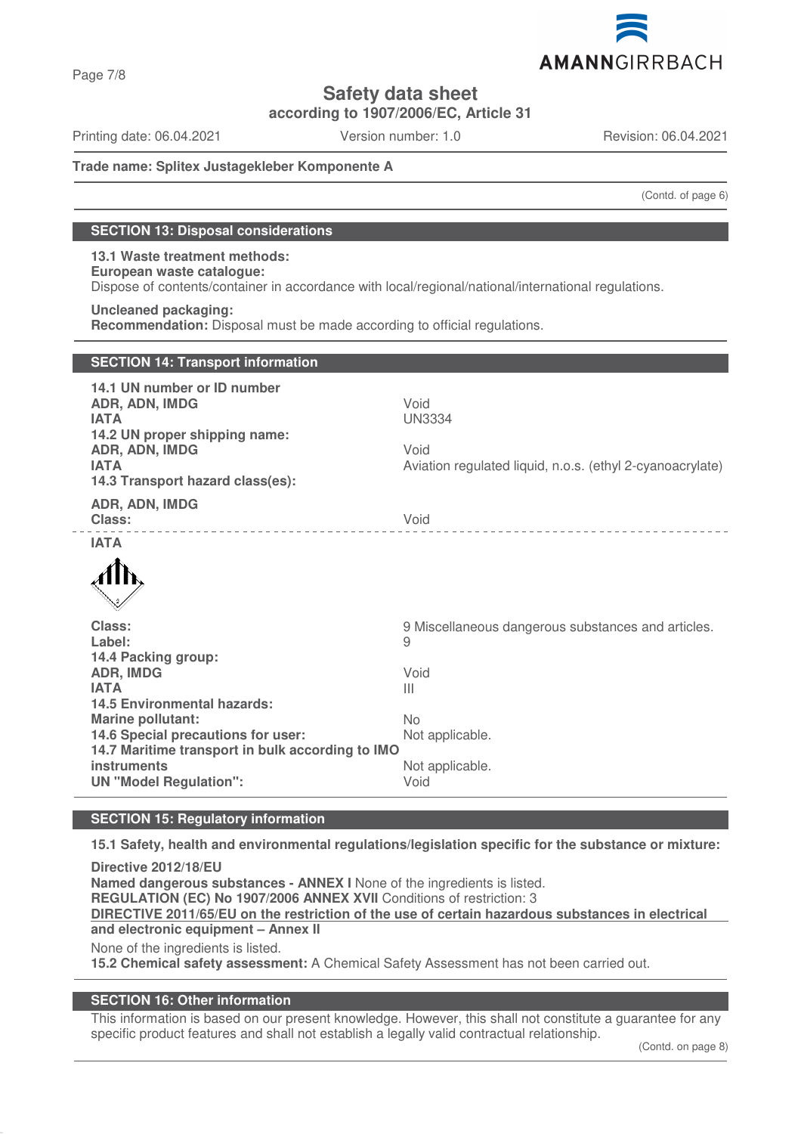

Page 7/8

# **Safety data sheet**

**according to 1907/2006/EC, Article 31**

Printing date: 06.04.2021 Version number: 1.0 Revision: 06.04.2021

### **Trade name: Splitex Justagekleber Komponente A**

(Contd. of page 6)

## **SECTION 13: Disposal considerations**

### **13.1 Waste treatment methods: European waste catalogue:** Dispose of contents/container in accordance with local/regional/national/international regulations.

## **Uncleaned packaging:**

**Recommendation:** Disposal must be made according to official regulations.

| <b>SECTION 14: Transport information</b>                                                                                                                           |                                                                                            |
|--------------------------------------------------------------------------------------------------------------------------------------------------------------------|--------------------------------------------------------------------------------------------|
| 14.1 UN number or ID number<br>ADR, ADN, IMDG<br><b>IATA</b><br>14.2 UN proper shipping name:<br>ADR, ADN, IMDG<br><b>IATA</b><br>14.3 Transport hazard class(es): | Void<br><b>UN3334</b><br>Void<br>Aviation regulated liquid, n.o.s. (ethyl 2-cyanoacrylate) |
| ADR, ADN, IMDG<br><b>Class:</b>                                                                                                                                    | Void                                                                                       |
| <b>IATA</b>                                                                                                                                                        |                                                                                            |
|                                                                                                                                                                    |                                                                                            |
| Class:                                                                                                                                                             | 9 Miscellaneous dangerous substances and articles.                                         |
| Label:<br>14.4 Packing group:                                                                                                                                      | 9                                                                                          |
| <b>ADR, IMDG</b>                                                                                                                                                   | Void                                                                                       |
| <b>IATA</b><br>14.5 Environmental hazards:                                                                                                                         | $\mathbf{III}$                                                                             |
| <b>Marine pollutant:</b>                                                                                                                                           | No                                                                                         |
| 14.6 Special precautions for user:<br>14.7 Maritime transport in bulk according to IMO                                                                             | Not applicable.                                                                            |
| instruments                                                                                                                                                        | Not applicable.                                                                            |
| <b>UN "Model Regulation":</b>                                                                                                                                      | Void                                                                                       |

## **SECTION 15: Regulatory information**

**15.1 Safety, health and environmental regulations/legislation specific for the substance or mixture:**

**Directive 2012/18/EU Named dangerous substances - ANNEX I** None of the ingredients is listed. **REGULATION (EC) No 1907/2006 ANNEX XVII** Conditions of restriction: 3 **DIRECTIVE 2011/65/EU on the restriction of the use of certain hazardous substances in electrical and electronic equipment – Annex II** None of the ingredients is listed.

**15.2 Chemical safety assessment:** A Chemical Safety Assessment has not been carried out.

### **SECTION 16: Other information**

This information is based on our present knowledge. However, this shall not constitute a guarantee for any specific product features and shall not establish a legally valid contractual relationship.